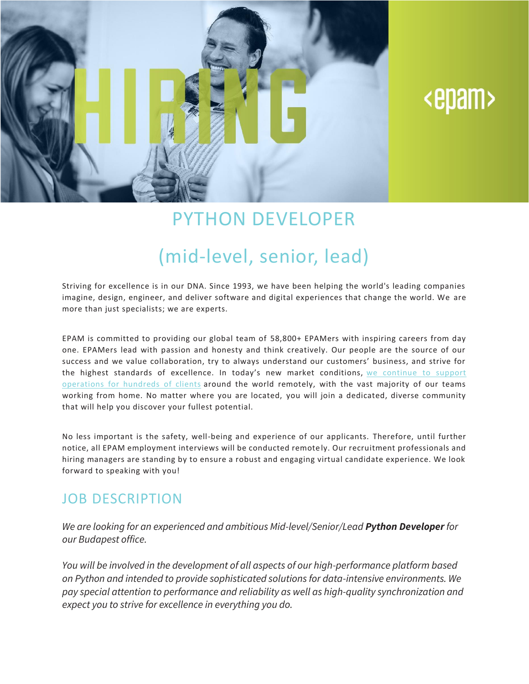

# <epam>

### PYTHON DEVELOPER

## (mid-level, senior, lead)

Striving for excellence is in our DNA. Since 1993, we have been helping the world's leading companies imagine, design, engineer, and deliver software and digital experiences that change the world. We are more than just specialists; we are experts.

EPAM is committed to providing our global team of 58,800+ EPAMers with inspiring careers from day one. EPAMers lead with passion and honesty and think creatively. Our people are the source of our success and we value collaboration, try to always understand our customers' business, and strive for the highest standards of excellence. In today's new market conditions, we [continue](https://www.epam.com/ceo-update-covid-19) to support [operations](https://www.epam.com/ceo-update-covid-19) for hundreds of clients around the world remotely, with the vast majority of our teams working from home. No matter where you are located, you will join a dedicated, diverse community that will help you discover your fullest potential.

No less important is the safety, well-being and experience of our applicants. Therefore, until further notice, all EPAM employment interviews will be conducted remote ly. Our recruitment professionals and hiring managers are standing by to ensure a robust and engaging virtual candidate experience. We look forward to speaking with you!

#### JOB DESCRIPTION

*We are looking for an experienced and ambitious Mid-level/Senior/Lead Python Developerfor our Budapest office.*

*You will be involved in the development of all aspects of our high-performance platform based on Python and intended to provide sophisticated solutions for data-intensive environments. We pay special attention to performance and reliability as well as high-quality synchronization and expect you to strive for excellence in everything you do.*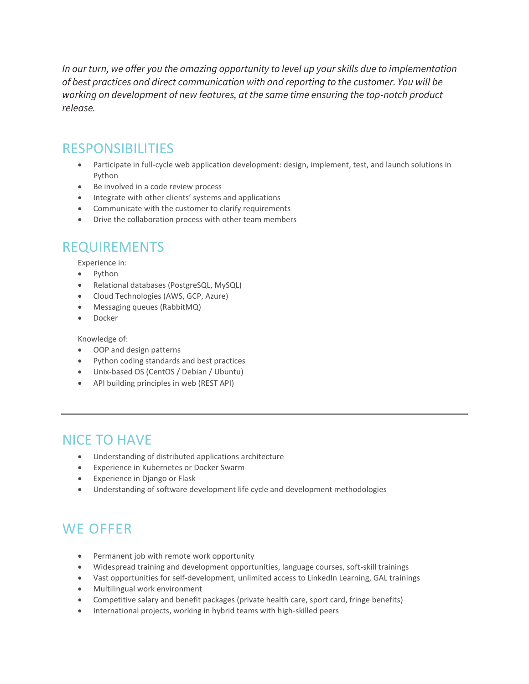*In our turn, we offer you the amazing opportunity to level up your skills due to implementation of best practices and direct communication with and reporting to the customer. You will be working on development of new features, at the same time ensuring the top-notch product release.*

#### RESPONSIBILITIES

- Participate in full-cycle web application development: design, implement, test, and launch solutions in Python
- Be involved in a code review process
- Integrate with other clients' systems and applications
- Communicate with the customer to clarify requirements
- Drive the collaboration process with other team members

#### REQUIREMENTS

Experience in:

- Python
- Relational databases (PostgreSQL, MySQL)
- Cloud Technologies (AWS, GCP, Azure)
- Messaging queues (RabbitMQ)
- Docker

Knowledge of:

- OOP and design patterns
- Python coding standards and best practices
- Unix-based OS (CentOS / Debian / Ubuntu)
- API building principles in web (REST API)

#### NICE TO HAVE

- Understanding of distributed applications architecture
- Experience in Kubernetes or Docker Swarm
- Experience in Django or Flask
- Understanding of software development life cycle and development methodologies

### WE OFFER

- Permanent job with remote work opportunity
- Widespread training and development opportunities, language courses, soft-skill trainings
- Vast opportunities for self-development, unlimited access to LinkedIn Learning, GAL trainings
- Multilingual work environment
- Competitive salary and benefit packages (private health care, sport card, fringe benefits)
- International projects, working in hybrid teams with high-skilled peers